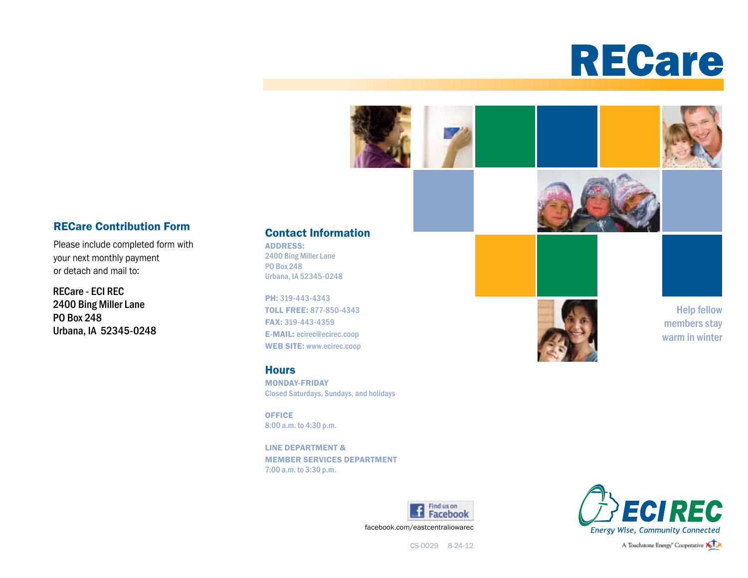





Please include completed form with your next monthly payment or detach and mail to:

RECare - ECI REC 2400 Bing Miller Lane PO Box 248 Urbana, IA 52345-0248

#### Contact Information

ADDRESS: 2400 Bing Miller Lane PO Box 248 Urbana, IA 52345-0248

PH: 319-443-4343 TOLL FREE: 877-850-4343 FAX: 319-443-4359 E-MAIL: ecirec@ecirec.coop WEB SITE: www.ecirec.coop

#### **Hours**

MONDAY-FRIDAY Closed Saturdays, Sundays, and holidays

**OFFICE** 8:00 a.m. to 4:30 p.m.

LINE DEPARTMENT & MEMBER SERVICES DEPARTMENT 7:00 a.m. to 3:30 p.m.





Help fellow members stay warm in winter



CS-0029 8-24-12

A Touchstone Energy<sup>®</sup> Cooperative **XIX**